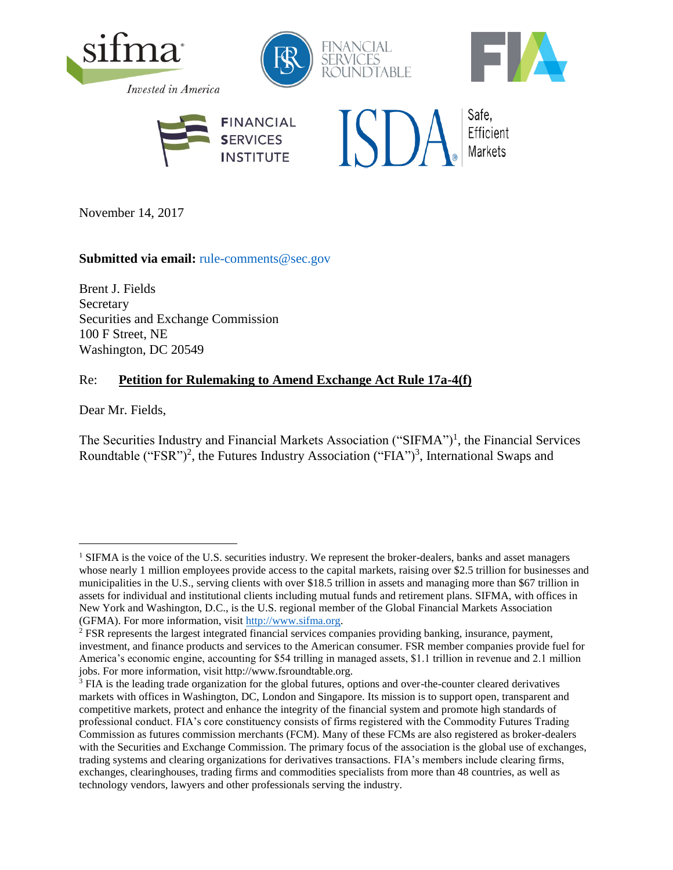

November 14, 2017

### Submitted via email: [rule-comments@sec.gov](mailto:rule-comments@sec.gov)

Brent J. Fields **Secretary** Securities and Exchange Commission 100 F Street, NE Washington, DC 20549

## Re: **Petition for Rulemaking to Amend Exchange Act Rule 17a-4(f)**

Dear Mr. Fields,

÷.

The Securities Industry and Financial Markets Association ("SIFMA")<sup>1</sup>, the Financial Services Roundtable ("FSR")<sup>2</sup>, the Futures Industry Association ("FIA")<sup>3</sup>, International Swaps and

<sup>&</sup>lt;sup>1</sup> SIFMA is the voice of the U.S. securities industry. We represent the broker-dealers, banks and asset managers whose nearly 1 million employees provide access to the capital markets, raising over \$2.5 trillion for businesses and municipalities in the U.S., serving clients with over \$18.5 trillion in assets and managing more than \$67 trillion in assets for individual and institutional clients including mutual funds and retirement plans. SIFMA, with offices in New York and Washington, D.C., is the U.S. regional member of the Global Financial Markets Association (GFMA). For more information, visit [http://www.sifma.org.](http://www.sifma.org/)

<sup>2</sup> FSR represents the largest integrated financial services companies providing banking, insurance, payment, investment, and finance products and services to the American consumer. FSR member companies provide fuel for America's economic engine, accounting for \$54 trilling in managed assets, \$1.1 trillion in revenue and 2.1 million jobs. For more information, visit http://www.fsroundtable.org.

<sup>&</sup>lt;sup>3</sup> FIA is the leading trade organization for the global futures, options and over-the-counter cleared derivatives markets with offices in Washington, DC, London and Singapore. Its mission is to support open, transparent and competitive markets, protect and enhance the integrity of the financial system and promote high standards of professional conduct. FIA's core constituency consists of firms registered with the Commodity Futures Trading Commission as futures commission merchants (FCM). Many of these FCMs are also registered as broker-dealers with the Securities and Exchange Commission. The primary focus of the association is the global use of exchanges, trading systems and clearing organizations for derivatives transactions. FIA's members include clearing firms, exchanges, clearinghouses, trading firms and commodities specialists from more than 48 countries, as well as technology vendors, lawyers and other professionals serving the industry.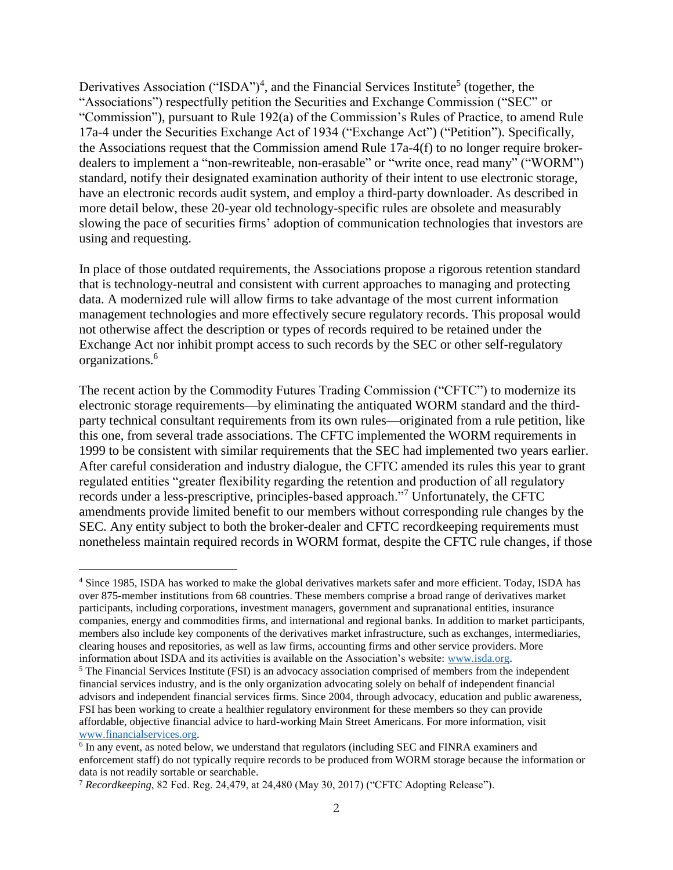Derivatives Association ("ISDA")<sup>4</sup>, and the Financial Services Institute<sup>5</sup> (together, the "Associations") respectfully petition the Securities and Exchange Commission ("SEC" or "Commission"), pursuant to Rule 192(a) of the Commission's Rules of Practice, to amend Rule 17a-4 under the Securities Exchange Act of 1934 ("Exchange Act") ("Petition"). Specifically, the Associations request that the Commission amend Rule 17a-4(f) to no longer require brokerdealers to implement a "non-rewriteable, non-erasable" or "write once, read many" ("WORM") standard, notify their designated examination authority of their intent to use electronic storage, have an electronic records audit system, and employ a third-party downloader. As described in more detail below, these 20-year old technology-specific rules are obsolete and measurably slowing the pace of securities firms' adoption of communication technologies that investors are using and requesting.

In place of those outdated requirements, the Associations propose a rigorous retention standard that is technology-neutral and consistent with current approaches to managing and protecting data. A modernized rule will allow firms to take advantage of the most current information management technologies and more effectively secure regulatory records. This proposal would not otherwise affect the description or types of records required to be retained under the Exchange Act nor inhibit prompt access to such records by the SEC or other self-regulatory organizations. 6

The recent action by the Commodity Futures Trading Commission ("CFTC") to modernize its electronic storage requirements—by eliminating the antiquated WORM standard and the thirdparty technical consultant requirements from its own rules—originated from a rule petition, like this one, from several trade associations. The CFTC implemented the WORM requirements in 1999 to be consistent with similar requirements that the SEC had implemented two years earlier. After careful consideration and industry dialogue, the CFTC amended its rules this year to grant regulated entities "greater flexibility regarding the retention and production of all regulatory records under a less-prescriptive, principles-based approach."<sup>7</sup> Unfortunately, the CFTC amendments provide limited benefit to our members without corresponding rule changes by the SEC. Any entity subject to both the broker-dealer and CFTC recordkeeping requirements must nonetheless maintain required records in WORM format, despite the CFTC rule changes, if those

÷.

<sup>4</sup> Since 1985, ISDA has worked to make the global derivatives markets safer and more efficient. Today, ISDA has over 875-member institutions from 68 countries. These members comprise a broad range of derivatives market participants, including corporations, investment managers, government and supranational entities, insurance companies, energy and commodities firms, and international and regional banks. In addition to market participants, members also include key components of the derivatives market infrastructure, such as exchanges, intermediaries, clearing houses and repositories, as well as law firms, accounting firms and other service providers. More information about ISDA and its activities is available on the Association's website: [www.isda.org.](http://www.isda.org/)

<sup>&</sup>lt;sup>5</sup> The Financial Services Institute (FSI) is an advocacy association comprised of members from the independent financial services industry, and is the only organization advocating solely on behalf of independent financial advisors and independent financial services firms. Since 2004, through advocacy, education and public awareness, FSI has been working to create a healthier regulatory environment for these members so they can provide affordable, objective financial advice to hard-working Main Street Americans. For more information, visit [www.financialservices.org.](http://www.financialservices.org/)

<sup>&</sup>lt;sup>6</sup> In any event, as noted below, we understand that regulators (including SEC and FINRA examiners and enforcement staff) do not typically require records to be produced from WORM storage because the information or data is not readily sortable or searchable.

<sup>7</sup> *Recordkeeping*, 82 Fed. Reg. 24,479, at 24,480 (May 30, 2017) ("CFTC Adopting Release").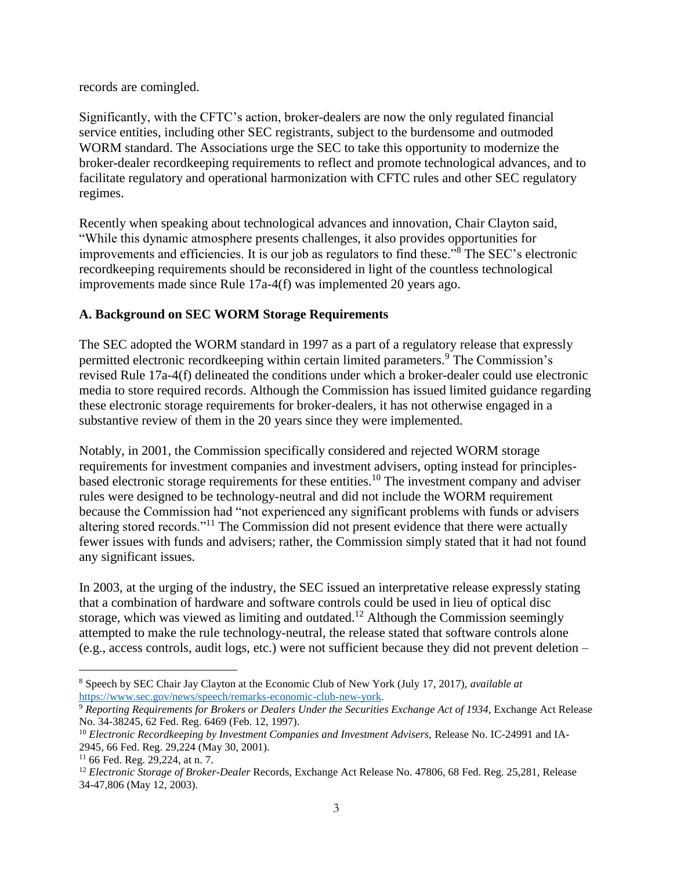records are comingled.

Significantly, with the CFTC's action, broker-dealers are now the only regulated financial service entities, including other SEC registrants, subject to the burdensome and outmoded WORM standard. The Associations urge the SEC to take this opportunity to modernize the broker-dealer recordkeeping requirements to reflect and promote technological advances, and to facilitate regulatory and operational harmonization with CFTC rules and other SEC regulatory regimes.

Recently when speaking about technological advances and innovation, Chair Clayton said, "While this dynamic atmosphere presents challenges, it also provides opportunities for improvements and efficiencies. It is our job as regulators to find these."<sup>8</sup> The SEC's electronic recordkeeping requirements should be reconsidered in light of the countless technological improvements made since Rule 17a-4(f) was implemented 20 years ago.

## **A. Background on SEC WORM Storage Requirements**

The SEC adopted the WORM standard in 1997 as a part of a regulatory release that expressly permitted electronic recordkeeping within certain limited parameters.<sup>9</sup> The Commission's revised Rule 17a-4(f) delineated the conditions under which a broker-dealer could use electronic media to store required records. Although the Commission has issued limited guidance regarding these electronic storage requirements for broker-dealers, it has not otherwise engaged in a substantive review of them in the 20 years since they were implemented.

Notably, in 2001, the Commission specifically considered and rejected WORM storage requirements for investment companies and investment advisers, opting instead for principlesbased electronic storage requirements for these entities.<sup>10</sup> The investment company and adviser rules were designed to be technology-neutral and did not include the WORM requirement because the Commission had "not experienced any significant problems with funds or advisers altering stored records."<sup>11</sup> The Commission did not present evidence that there were actually fewer issues with funds and advisers; rather, the Commission simply stated that it had not found any significant issues.

In 2003, at the urging of the industry, the SEC issued an interpretative release expressly stating that a combination of hardware and software controls could be used in lieu of optical disc storage, which was viewed as limiting and outdated.<sup>12</sup> Although the Commission seemingly attempted to make the rule technology-neutral, the release stated that software controls alone (e.g., access controls, audit logs, etc.) were not sufficient because they did not prevent deletion –

÷.

<sup>8</sup> Speech by SEC Chair Jay Clayton at the Economic Club of New York (July 17, 2017), *available at* [https://www.sec.gov/news/speech/remarks-economic-club-new-york.](https://www.sec.gov/news/speech/remarks-economic-club-new-york)

<sup>9</sup> *Reporting Requirements for Brokers or Dealers Under the Securities Exchange Act of 1934*, Exchange Act Release No. 34-38245, 62 Fed. Reg. 6469 (Feb. 12, 1997).

<sup>&</sup>lt;sup>10</sup> *Electronic Recordkeeping by Investment Companies and Investment Advisers, Release No. IC-24991 and IA-*2945, 66 Fed. Reg. 29,224 (May 30, 2001).

<sup>11</sup> 66 Fed. Reg. 29,224, at n. 7.

<sup>12</sup> *Electronic Storage of Broker-Dealer* Records, Exchange Act Release No. 47806, 68 Fed. Reg. 25,281, Release 34-47,806 (May 12, 2003).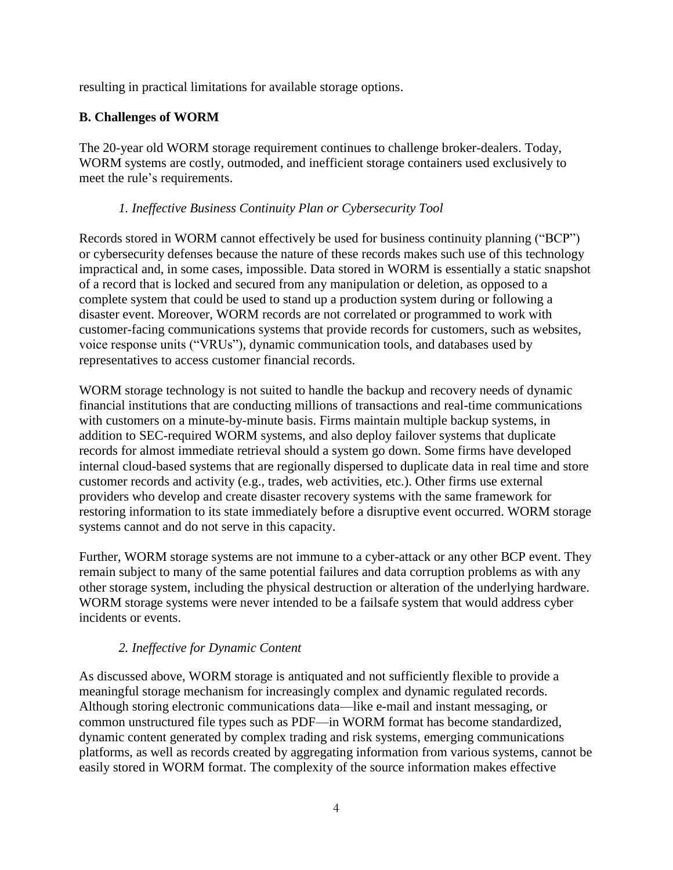resulting in practical limitations for available storage options.

# **B. Challenges of WORM**

The 20-year old WORM storage requirement continues to challenge broker-dealers. Today, WORM systems are costly, outmoded, and inefficient storage containers used exclusively to meet the rule's requirements.

### *1. Ineffective Business Continuity Plan or Cybersecurity Tool*

Records stored in WORM cannot effectively be used for business continuity planning ("BCP") or cybersecurity defenses because the nature of these records makes such use of this technology impractical and, in some cases, impossible. Data stored in WORM is essentially a static snapshot of a record that is locked and secured from any manipulation or deletion, as opposed to a complete system that could be used to stand up a production system during or following a disaster event. Moreover, WORM records are not correlated or programmed to work with customer-facing communications systems that provide records for customers, such as websites, voice response units ("VRUs"), dynamic communication tools, and databases used by representatives to access customer financial records.

WORM storage technology is not suited to handle the backup and recovery needs of dynamic financial institutions that are conducting millions of transactions and real-time communications with customers on a minute-by-minute basis. Firms maintain multiple backup systems, in addition to SEC-required WORM systems, and also deploy failover systems that duplicate records for almost immediate retrieval should a system go down. Some firms have developed internal cloud-based systems that are regionally dispersed to duplicate data in real time and store customer records and activity (e.g., trades, web activities, etc.). Other firms use external providers who develop and create disaster recovery systems with the same framework for restoring information to its state immediately before a disruptive event occurred. WORM storage systems cannot and do not serve in this capacity.

Further, WORM storage systems are not immune to a cyber-attack or any other BCP event. They remain subject to many of the same potential failures and data corruption problems as with any other storage system, including the physical destruction or alteration of the underlying hardware. WORM storage systems were never intended to be a failsafe system that would address cyber incidents or events.

## *2. Ineffective for Dynamic Content*

As discussed above, WORM storage is antiquated and not sufficiently flexible to provide a meaningful storage mechanism for increasingly complex and dynamic regulated records. Although storing electronic communications data—like e-mail and instant messaging, or common unstructured file types such as PDF—in WORM format has become standardized, dynamic content generated by complex trading and risk systems, emerging communications platforms, as well as records created by aggregating information from various systems, cannot be easily stored in WORM format. The complexity of the source information makes effective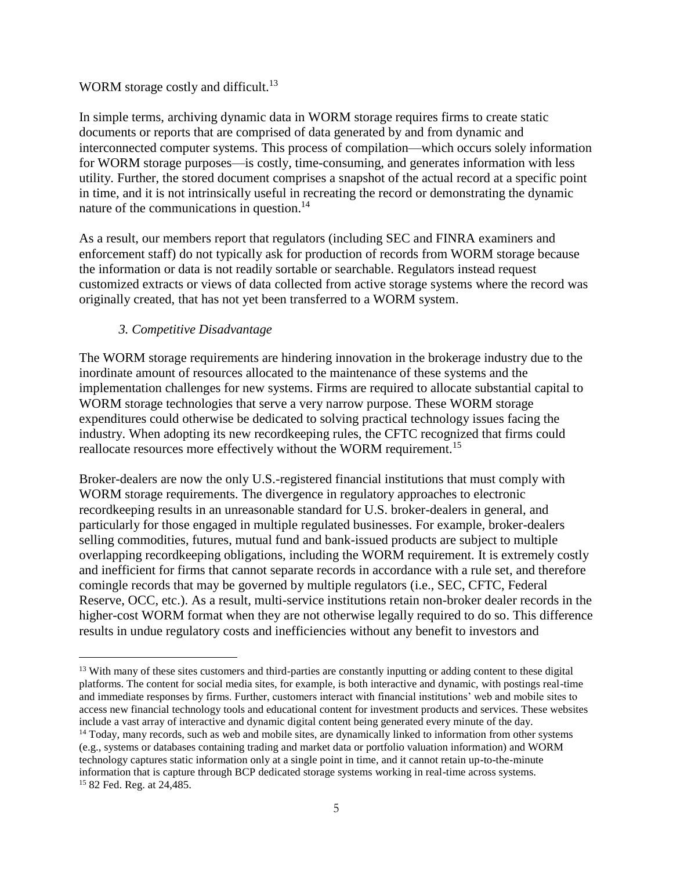### WORM storage costly and difficult.<sup>13</sup>

In simple terms, archiving dynamic data in WORM storage requires firms to create static documents or reports that are comprised of data generated by and from dynamic and interconnected computer systems. This process of compilation—which occurs solely information for WORM storage purposes—is costly, time-consuming, and generates information with less utility. Further, the stored document comprises a snapshot of the actual record at a specific point in time, and it is not intrinsically useful in recreating the record or demonstrating the dynamic nature of the communications in question.<sup>14</sup>

As a result, our members report that regulators (including SEC and FINRA examiners and enforcement staff) do not typically ask for production of records from WORM storage because the information or data is not readily sortable or searchable. Regulators instead request customized extracts or views of data collected from active storage systems where the record was originally created, that has not yet been transferred to a WORM system.

#### *3. Competitive Disadvantage*

÷.

The WORM storage requirements are hindering innovation in the brokerage industry due to the inordinate amount of resources allocated to the maintenance of these systems and the implementation challenges for new systems. Firms are required to allocate substantial capital to WORM storage technologies that serve a very narrow purpose. These WORM storage expenditures could otherwise be dedicated to solving practical technology issues facing the industry. When adopting its new recordkeeping rules, the CFTC recognized that firms could reallocate resources more effectively without the WORM requirement.<sup>15</sup>

Broker-dealers are now the only U.S.-registered financial institutions that must comply with WORM storage requirements. The divergence in regulatory approaches to electronic recordkeeping results in an unreasonable standard for U.S. broker-dealers in general, and particularly for those engaged in multiple regulated businesses. For example, broker-dealers selling commodities, futures, mutual fund and bank-issued products are subject to multiple overlapping recordkeeping obligations, including the WORM requirement. It is extremely costly and inefficient for firms that cannot separate records in accordance with a rule set, and therefore comingle records that may be governed by multiple regulators (i.e., SEC, CFTC, Federal Reserve, OCC, etc.). As a result, multi-service institutions retain non-broker dealer records in the higher-cost WORM format when they are not otherwise legally required to do so. This difference results in undue regulatory costs and inefficiencies without any benefit to investors and

<sup>&</sup>lt;sup>13</sup> With many of these sites customers and third-parties are constantly inputting or adding content to these digital platforms. The content for social media sites, for example, is both interactive and dynamic, with postings real-time and immediate responses by firms. Further, customers interact with financial institutions' web and mobile sites to access new financial technology tools and educational content for investment products and services. These websites include a vast array of interactive and dynamic digital content being generated every minute of the day.

<sup>&</sup>lt;sup>14</sup> Today, many records, such as web and mobile sites, are dynamically linked to information from other systems (e.g., systems or databases containing trading and market data or portfolio valuation information) and WORM technology captures static information only at a single point in time, and it cannot retain up-to-the-minute information that is capture through BCP dedicated storage systems working in real-time across systems. <sup>15</sup> 82 Fed. Reg. at 24,485.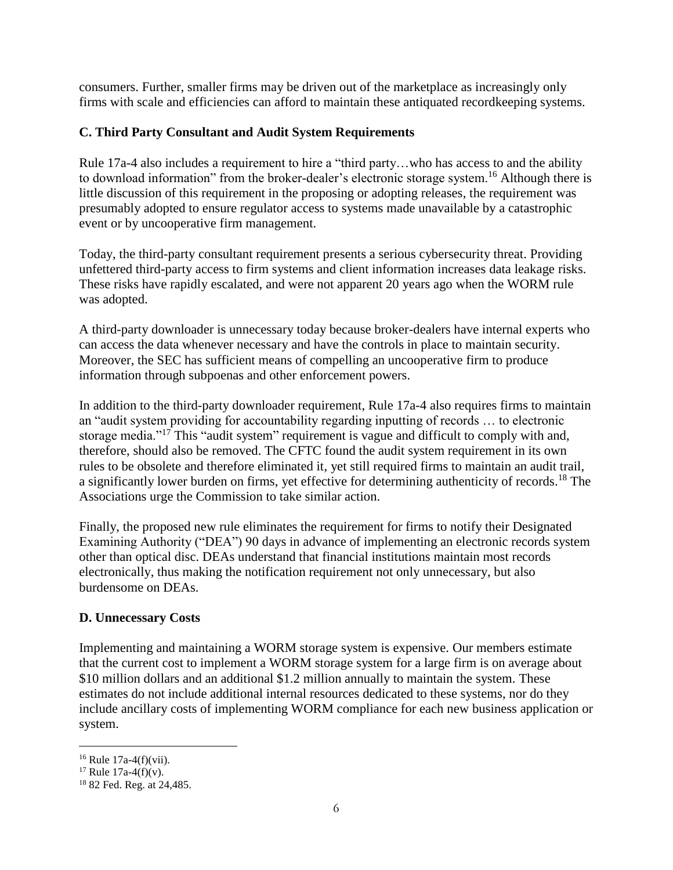consumers. Further, smaller firms may be driven out of the marketplace as increasingly only firms with scale and efficiencies can afford to maintain these antiquated recordkeeping systems.

# **C. Third Party Consultant and Audit System Requirements**

Rule 17a-4 also includes a requirement to hire a "third party…who has access to and the ability to download information" from the broker-dealer's electronic storage system.<sup>16</sup> Although there is little discussion of this requirement in the proposing or adopting releases, the requirement was presumably adopted to ensure regulator access to systems made unavailable by a catastrophic event or by uncooperative firm management.

Today, the third-party consultant requirement presents a serious cybersecurity threat. Providing unfettered third-party access to firm systems and client information increases data leakage risks. These risks have rapidly escalated, and were not apparent 20 years ago when the WORM rule was adopted.

A third-party downloader is unnecessary today because broker-dealers have internal experts who can access the data whenever necessary and have the controls in place to maintain security. Moreover, the SEC has sufficient means of compelling an uncooperative firm to produce information through subpoenas and other enforcement powers.

In addition to the third-party downloader requirement, Rule 17a-4 also requires firms to maintain an "audit system providing for accountability regarding inputting of records … to electronic storage media."<sup>17</sup> This "audit system" requirement is vague and difficult to comply with and, therefore, should also be removed. The CFTC found the audit system requirement in its own rules to be obsolete and therefore eliminated it, yet still required firms to maintain an audit trail, a significantly lower burden on firms, yet effective for determining authenticity of records.<sup>18</sup> The Associations urge the Commission to take similar action.

Finally, the proposed new rule eliminates the requirement for firms to notify their Designated Examining Authority ("DEA") 90 days in advance of implementing an electronic records system other than optical disc. DEAs understand that financial institutions maintain most records electronically, thus making the notification requirement not only unnecessary, but also burdensome on DEAs.

## **D. Unnecessary Costs**

Implementing and maintaining a WORM storage system is expensive. Our members estimate that the current cost to implement a WORM storage system for a large firm is on average about \$10 million dollars and an additional \$1.2 million annually to maintain the system. These estimates do not include additional internal resources dedicated to these systems, nor do they include ancillary costs of implementing WORM compliance for each new business application or system.

÷.

 $16$  Rule 17a-4(f)(vii).

<sup>&</sup>lt;sup>17</sup> Rule 17a-4(f)(v).

<sup>18</sup> 82 Fed. Reg. at 24,485.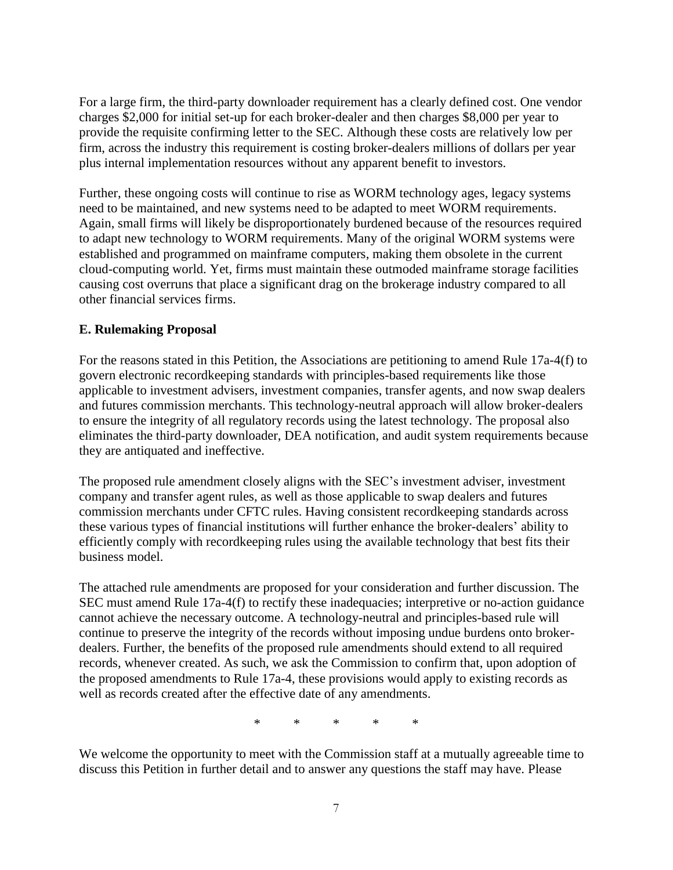For a large firm, the third-party downloader requirement has a clearly defined cost. One vendor charges \$2,000 for initial set-up for each broker-dealer and then charges \$8,000 per year to provide the requisite confirming letter to the SEC. Although these costs are relatively low per firm, across the industry this requirement is costing broker-dealers millions of dollars per year plus internal implementation resources without any apparent benefit to investors.

Further, these ongoing costs will continue to rise as WORM technology ages, legacy systems need to be maintained, and new systems need to be adapted to meet WORM requirements. Again, small firms will likely be disproportionately burdened because of the resources required to adapt new technology to WORM requirements. Many of the original WORM systems were established and programmed on mainframe computers, making them obsolete in the current cloud-computing world. Yet, firms must maintain these outmoded mainframe storage facilities causing cost overruns that place a significant drag on the brokerage industry compared to all other financial services firms.

## **E. Rulemaking Proposal**

For the reasons stated in this Petition, the Associations are petitioning to amend Rule 17a-4(f) to govern electronic recordkeeping standards with principles-based requirements like those applicable to investment advisers, investment companies, transfer agents, and now swap dealers and futures commission merchants. This technology-neutral approach will allow broker-dealers to ensure the integrity of all regulatory records using the latest technology. The proposal also eliminates the third-party downloader, DEA notification, and audit system requirements because they are antiquated and ineffective.

The proposed rule amendment closely aligns with the SEC's investment adviser, investment company and transfer agent rules, as well as those applicable to swap dealers and futures commission merchants under CFTC rules. Having consistent recordkeeping standards across these various types of financial institutions will further enhance the broker-dealers' ability to efficiently comply with recordkeeping rules using the available technology that best fits their business model.

The attached rule amendments are proposed for your consideration and further discussion. The SEC must amend Rule 17a-4(f) to rectify these inadequacies; interpretive or no-action guidance cannot achieve the necessary outcome. A technology-neutral and principles-based rule will continue to preserve the integrity of the records without imposing undue burdens onto brokerdealers. Further, the benefits of the proposed rule amendments should extend to all required records, whenever created. As such, we ask the Commission to confirm that, upon adoption of the proposed amendments to Rule 17a-4, these provisions would apply to existing records as well as records created after the effective date of any amendments.

\* \* \* \* \*

We welcome the opportunity to meet with the Commission staff at a mutually agreeable time to discuss this Petition in further detail and to answer any questions the staff may have. Please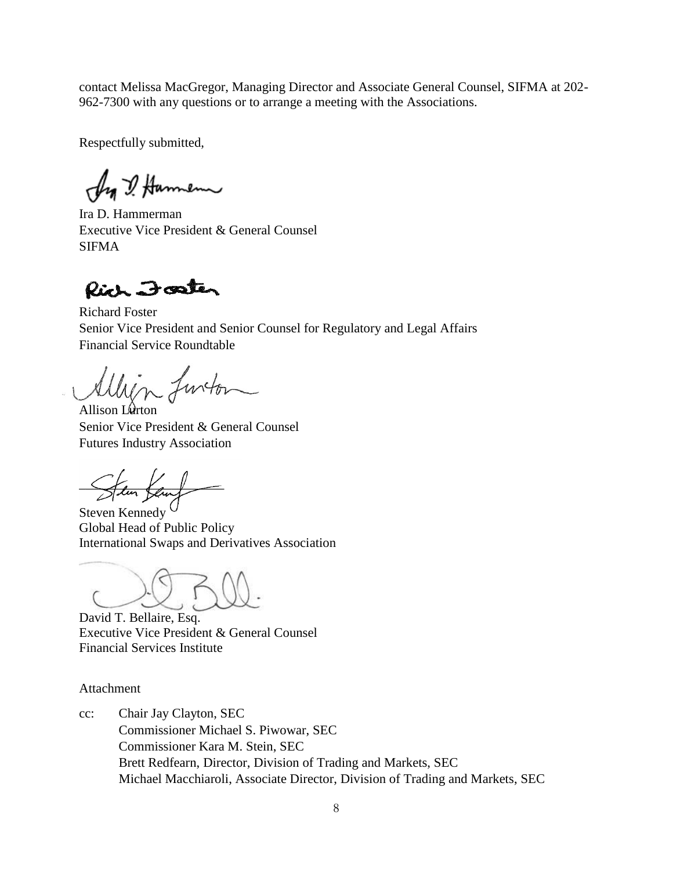contact Melissa MacGregor, Managing Director and Associate General Counsel, SIFMA at 202- 962-7300 with any questions or to arrange a meeting with the Associations.

Respectfully submitted,

Ang I Hammenn

Ira D. Hammerman Executive Vice President & General Counsel SIFMA

Rich Foster

Richard Foster Senior Vice President and Senior Counsel for Regulatory and Legal Affairs Financial Service Roundtable

lin functor

Allison L $\theta$ rton Senior Vice President & General Counsel Futures Industry Association

*\_\_\_\_\_\_\_\_\_\_\_\_\_\_\_\_\_\_\_\_\_\_*

Steven Kennedy Global Head of Public Policy International Swaps and Derivatives Association

David T. Bellaire, Esq. Executive Vice President & General Counsel Financial Services Institute

Attachment

cc: Chair Jay Clayton, SEC Commissioner Michael S. Piwowar, SEC Commissioner Kara M. Stein, SEC Brett Redfearn, Director, Division of Trading and Markets, SEC Michael Macchiaroli, Associate Director, Division of Trading and Markets, SEC